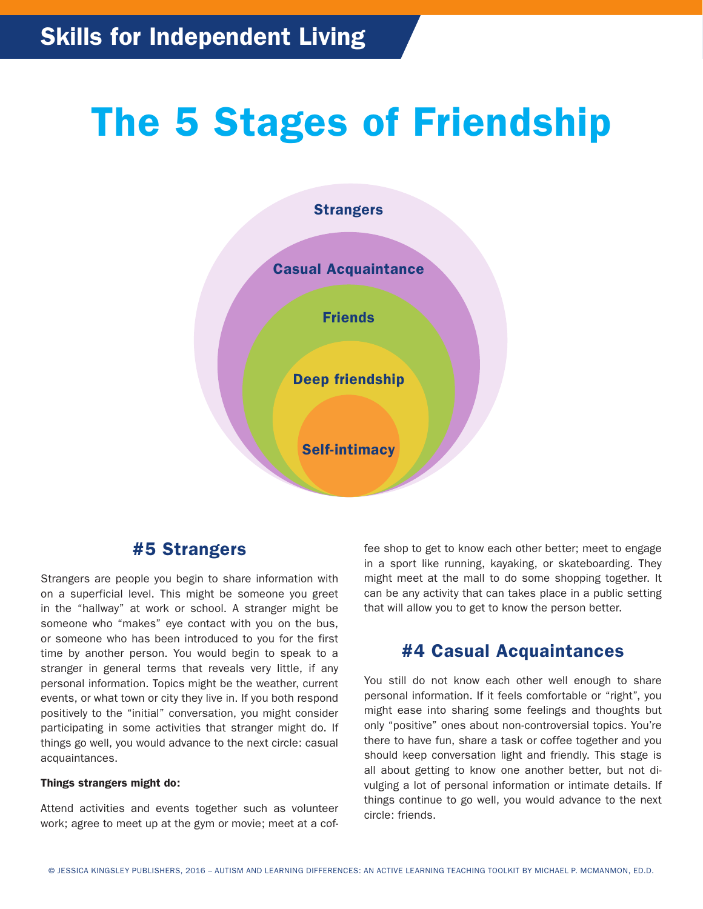# The 5 Stages of Friendship



# #5 Strangers

Strangers are people you begin to share information with on a superficial level. This might be someone you greet in the "hallway" at work or school. A stranger might be someone who "makes" eye contact with you on the bus, or someone who has been introduced to you for the first time by another person. You would begin to speak to a stranger in general terms that reveals very little, if any personal information. Topics might be the weather, current events, or what town or city they live in. If you both respond positively to the "initial" conversation, you might consider participating in some activities that stranger might do. If things go well, you would advance to the next circle: casual acquaintances.

#### Things strangers might do:

Attend activities and events together such as volunteer work; agree to meet up at the gym or movie; meet at a coffee shop to get to know each other better; meet to engage in a sport like running, kayaking, or skateboarding. They might meet at the mall to do some shopping together. It can be any activity that can takes place in a public setting that will allow you to get to know the person better.

## #4 Casual Acquaintances

You still do not know each other well enough to share personal information. If it feels comfortable or "right", you might ease into sharing some feelings and thoughts but only "positive" ones about non-controversial topics. You're there to have fun, share a task or coffee together and you should keep conversation light and friendly. This stage is all about getting to know one another better, but not divulging a lot of personal information or intimate details. If things continue to go well, you would advance to the next circle: friends.